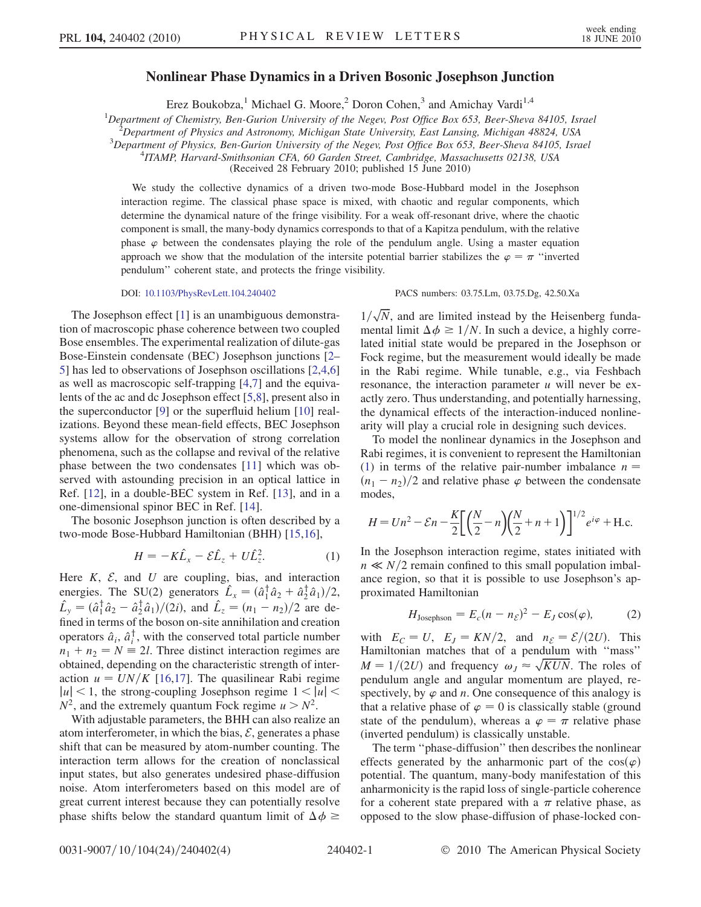## Nonlinear Phase Dynamics in a Driven Bosonic Josephson Junction

Erez Boukobza,<sup>1</sup> Michael G. Moore,<sup>2</sup> Doron Cohen,<sup>3</sup> and Amichay Vardi<sup>1,4</sup>

<sup>1</sup>Department of Chemistry, Ben-Gurion University of the Negev, Post Office Box 653, Beer-Sheva 84105, Israel <sup>2</sup><br><sup>2</sup>Department of Physics and Astronomy Michigan State University East Lansing Michigan 48824, USA

 $\hat{P}$ Department of Physics and Astronomy, Michigan State University, East Lansing, Michigan 48824, USA

 $3$ Department of Physics, Ben-Gurion University of the Negev, Post Office Box 653, Beer-Sheva 84105, Israel ITAMP, Harvard-Smithsonian CFA, 60 Garden Street, Cambridge, Massachusetts 02138, USA

(Received 28 February 2010; published 15 June 2010)

We study the collective dynamics of a driven two-mode Bose-Hubbard model in the Josephson interaction regime. The classical phase space is mixed, with chaotic and regular components, which determine the dynamical nature of the fringe visibility. For a weak off-resonant drive, where the chaotic component is small, the many-body dynamics corresponds to that of a Kapitza pendulum, with the relative phase  $\varphi$  between the condensates playing the role of the pendulum angle. Using a master equation approach we show that the modulation of the intersite potential barrier stabilizes the  $\varphi = \pi$  "inverted" pendulum'' coherent state, and protects the fringe visibility.

The Josephson effect [\[1](#page-3-0)] is an unambiguous demonstration of macroscopic phase coherence between two coupled Bose ensembles. The experimental realization of dilute-gas Bose-Einstein condensate (BEC) Josephson junctions [[2–](#page-3-1) [5](#page-3-2)] has led to observations of Josephson oscillations [[2,](#page-3-1)[4](#page-3-3)[,6\]](#page-3-4) as well as macroscopic self-trapping [\[4](#page-3-3)[,7\]](#page-3-5) and the equivalents of the ac and dc Josephson effect [[5](#page-3-2),[8\]](#page-3-6), present also in the superconductor [\[9\]](#page-3-7) or the superfluid helium [[10\]](#page-3-8) realizations. Beyond these mean-field effects, BEC Josephson systems allow for the observation of strong correlation phenomena, such as the collapse and revival of the relative phase between the two condensates [[11](#page-3-9)] which was observed with astounding precision in an optical lattice in Ref. [[12](#page-3-10)], in a double-BEC system in Ref. [[13](#page-3-11)], and in a one-dimensional spinor BEC in Ref. [[14](#page-3-12)].

<span id="page-0-0"></span>The bosonic Josephson junction is often described by a two-mode Bose-Hubbard Hamiltonian (BHH) [\[15](#page-3-13)[,16\]](#page-3-14),

$$
H = -K\hat{L}_x - \mathcal{E}\hat{L}_z + U\hat{L}_z^2.
$$
 (1)

Here  $K$ ,  $\mathcal{E}$ , and  $U$  are coupling, bias, and interaction energies. The SU(2) generators  $\hat{L}_x = (\hat{a}_1^{\dagger} \hat{a}_2 + \hat{a}_2^{\dagger} \hat{a}_1)/2$ ,  $\hat{L}_y = (\hat{a}_1^{\dagger} \hat{a}_2 - \hat{a}_2^{\dagger} \hat{a}_1)/(2i)$ , and  $\hat{L}_z = (n_1 - n_2)/2$  are defined in terms of the boson on-site annihilation and creation operators  $\hat{a}_i$ ,  $\hat{a}_i^{\dagger}$ , with the conserved total particle number  $n_1 + n_2 = N \equiv 2l$ . Three distinct interaction regimes are obtained, depending on the characteristic strength of interaction  $u = UN/K$  [\[16](#page-3-14)[,17\]](#page-3-15). The quasilinear Rabi regime  $|u|$  < 1, the strong-coupling Josephson regime  $1 < |u|$  <  $N^2$ , and the extremely quantum Fock regime  $u > N^2$ .

With adjustable parameters, the BHH can also realize an atom interferometer, in which the bias,  $\mathcal{E}$ , generates a phase shift that can be measured by atom-number counting. The interaction term allows for the creation of nonclassical input states, but also generates undesired phase-diffusion noise. Atom interferometers based on this model are of great current interest because they can potentially resolve phase shifts below the standard quantum limit of  $\Delta \phi \geq$ 

DOI: [10.1103/PhysRevLett.104.240402](http://dx.doi.org/10.1103/PhysRevLett.104.240402) PACS numbers: 03.75.Lm, 03.75.Dg, 42.50.Xa

 $1/\sqrt{N}$ , and are limited instead by the Heisenberg fundamental limit  $\Delta \phi \ge 1/N$ . In such a device, a highly correlated initial state would be prepared in the Josephson or Fock regime, but the measurement would ideally be made in the Rabi regime. While tunable, e.g., via Feshbach resonance, the interaction parameter  $u$  will never be exactly zero. Thus understanding, and potentially harnessing, the dynamical effects of the interaction-induced nonlinearity will play a crucial role in designing such devices.

To model the nonlinear dynamics in the Josephson and Rabi regimes, it is convenient to represent the Hamiltonian [\(1\)](#page-0-0) in terms of the relative pair-number imbalance  $n =$  $(n_1 - n_2)/2$  and relative phase  $\varphi$  between the condensate modes,

$$
H = Un^{2} - \mathcal{E}n - \frac{K}{2} \left[ \left( \frac{N}{2} - n \right) \left( \frac{N}{2} + n + 1 \right) \right]^{1/2} e^{i\varphi} + \text{H.c.}
$$

In the Josephson interaction regime, states initiated with  $n \ll N/2$  remain confined to this small population imbalance region, so that it is possible to use Josephson's approximated Hamiltonian

$$
H_{\text{Josephson}} = E_c (n - n_{\mathcal{E}})^2 - E_J \cos(\varphi), \tag{2}
$$

with  $E_C = U$ ,  $E_J = KN/2$ , and  $n_{\mathcal{E}} = \mathcal{E}/(2U)$ . This Hamiltonian matches that of a pendulum with ''mass''  $M = 1/(2U)$  and frequency  $\omega_J \approx \sqrt{KUN}$ . The roles of pendulum angle and angular momentum are played, respectively, by  $\varphi$  and n. One consequence of this analogy is that a relative phase of  $\varphi = 0$  is classically stable (ground state of the pendulum), whereas a  $\varphi = \pi$  relative phase (inverted pendulum) is classically unstable.

The term ''phase-diffusion'' then describes the nonlinear effects generated by the anharmonic part of the  $cos(\varphi)$ potential. The quantum, many-body manifestation of this anharmonicity is the rapid loss of single-particle coherence for a coherent state prepared with a  $\pi$  relative phase, as opposed to the slow phase-diffusion of phase-locked con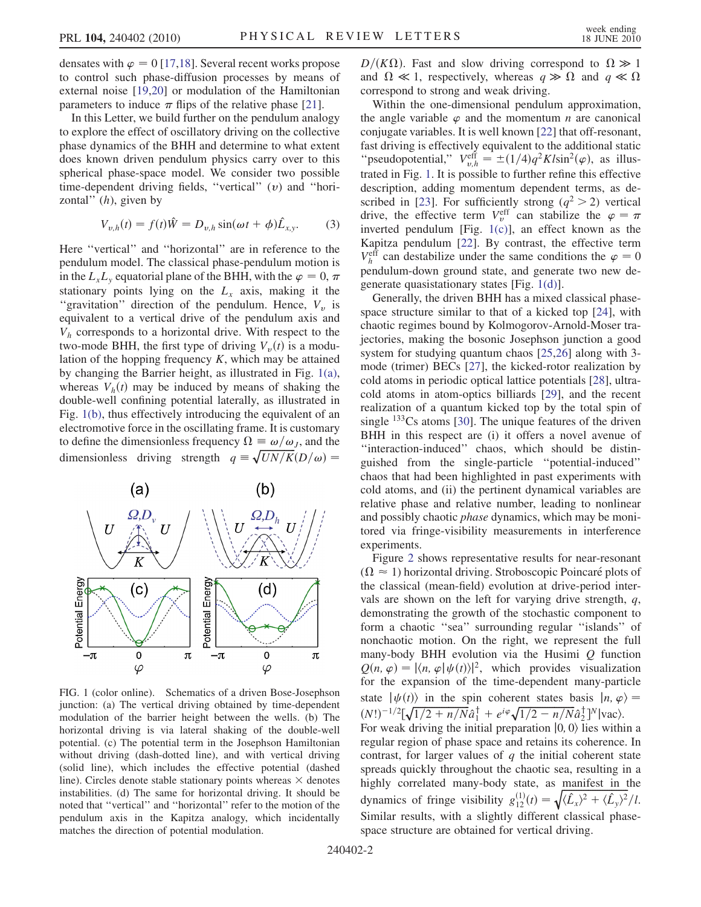densates with  $\varphi = 0$  [\[17](#page-3-15)[,18\]](#page-3-16). Several recent works propose to control such phase-diffusion processes by means of external noise [\[19](#page-3-17)[,20\]](#page-3-18) or modulation of the Hamiltonian parameters to induce  $\pi$  flips of the relative phase [\[21\]](#page-3-19).

In this Letter, we build further on the pendulum analogy to explore the effect of oscillatory driving on the collective phase dynamics of the BHH and determine to what extent does known driven pendulum physics carry over to this spherical phase-space model. We consider two possible time-dependent driving fields, "vertical"  $(v)$  and "horizontal"  $(h)$ , given by

$$
V_{v,h}(t) = f(t)\hat{W} = D_{v,h}\sin(\omega t + \phi)\hat{L}_{x,y}.
$$
 (3)

Here ''vertical'' and ''horizontal'' are in reference to the pendulum model. The classical phase-pendulum motion is in the  $L_xL_y$  equatorial plane of the BHH, with the  $\varphi = 0, \pi$ stationary points lying on the  $L<sub>x</sub>$  axis, making it the "gravitation" direction of the pendulum. Hence,  $V_{\nu}$  is equivalent to a vertical drive of the pendulum axis and  $V<sub>h</sub>$  corresponds to a horizontal drive. With respect to the two-mode BHH, the first type of driving  $V_n(t)$  is a modulation of the hopping frequency  $K$ , which may be attained by changing the Barrier height, as illustrated in Fig. [1\(a\)](#page-1-0), whereas  $V_h(t)$  may be induced by means of shaking the double-well confining potential laterally, as illustrated in Fig. [1\(b\),](#page-1-0) thus effectively introducing the equivalent of an electromotive force in the oscillating frame. It is customary to define the dimensionless frequency  $\Omega \equiv \omega/\omega_j$ , and the dimensionless driving strength  $q = \sqrt{UN/K}(D/\omega)$  =

<span id="page-1-1"></span>

<span id="page-1-0"></span>FIG. 1 (color online). Schematics of a driven Bose-Josephson junction: (a) The vertical driving obtained by time-dependent modulation of the barrier height between the wells. (b) The horizontal driving is via lateral shaking of the double-well potential. (c) The potential term in the Josephson Hamiltonian without driving (dash-dotted line), and with vertical driving (solid line), which includes the effective potential (dashed line). Circles denote stable stationary points whereas  $\times$  denotes instabilities. (d) The same for horizontal driving. It should be noted that ''vertical'' and ''horizontal'' refer to the motion of the pendulum axis in the Kapitza analogy, which incidentally matches the direction of potential modulation.

 $D/(K\Omega)$ . Fast and slow driving correspond to  $\Omega \gg 1$ and  $\Omega \ll 1$ , respectively, whereas  $q \gg \Omega$  and  $q \ll \Omega$ correspond to strong and weak driving.

Within the one-dimensional pendulum approximation, the angle variable  $\varphi$  and the momentum *n* are canonical conjugate variables. It is well known [\[22\]](#page-3-20) that off-resonant, fast driving is effectively equivalent to the additional static "pseudopotential,"  $V_{v,h}^{\text{eff}} = \pm (1/4)q^2Kl\sin^2(\varphi)$ , as illustrated in Fig. [1.](#page-1-1) It is possible to further refine this effective description, adding momentum dependent terms, as de-scribed in [\[23](#page-3-21)]. For sufficiently strong ( $q^2 > 2$ ) vertical drive, the effective term  $V_v^{\text{eff}}$  can stabilize the  $\varphi = \pi$ inverted pendulum [Fig. [1\(c\)\]](#page-1-0), an effect known as the Kapitza pendulum [[22](#page-3-20)]. By contrast, the effective term  $V_h^{\text{eff}}$  can destabilize under the same conditions the  $\varphi = 0$ pendulum-down ground state, and generate two new degenerate quasistationary states [Fig. [1\(d\)\]](#page-1-0).

Generally, the driven BHH has a mixed classical phasespace structure similar to that of a kicked top [\[24](#page-3-22)], with chaotic regimes bound by Kolmogorov-Arnold-Moser trajectories, making the bosonic Josephson junction a good system for studying quantum chaos [[25](#page-3-23),[26](#page-3-24)] along with 3 mode (trimer) BECs [[27](#page-3-25)], the kicked-rotor realization by cold atoms in periodic optical lattice potentials [\[28\]](#page-3-26), ultracold atoms in atom-optics billiards [\[29\]](#page-3-27), and the recent realization of a quantum kicked top by the total spin of single  $133$ Cs atoms [[30](#page-3-28)]. The unique features of the driven BHH in this respect are (i) it offers a novel avenue of ''interaction-induced'' chaos, which should be distinguished from the single-particle ''potential-induced'' chaos that had been highlighted in past experiments with cold atoms, and (ii) the pertinent dynamical variables are relative phase and relative number, leading to nonlinear and possibly chaotic phase dynamics, which may be monitored via fringe-visibility measurements in interference experiments.

Figure [2](#page-2-0) shows representative results for near-resonant  $(\Omega \approx 1)$  horizontal driving. Stroboscopic Poincaré plots of the classical (mean-field) evolution at drive-period intervals are shown on the left for varying drive strength,  $q$ , demonstrating the growth of the stochastic component to form a chaotic ''sea'' surrounding regular ''islands'' of nonchaotic motion. On the right, we represent the full many-body BHH evolution via the Husimi  $Q$  function  $Q(n, \varphi) = |\langle n, \varphi | \psi(t) \rangle|^2$ , which provides visualization for the expansion of the time-dependent many-particle state  $|\psi(t)\rangle$  in the spin coherent states basis  $|n, \varphi\rangle =$  $(N!)^{-1/2} [\sqrt{1/2 + n/N} \hat{a}_1^{\dagger} + e^{i\varphi} \sqrt{1/2 - n/N} \hat{a}_2^{\dagger}]^N |\text{vac}\rangle.$ For weak driving the initial preparation  $|0, 0\rangle$  lies within a regular region of phase space and retains its coherence. In contrast, for larger values of  $q$  the initial coherent state spreads quickly throughout the chaotic sea, resulting in a highly correlated many-body state, as manifest in the dynamics of fringe visibility  $g_{12}^{(1)}(t) = \sqrt{\langle \hat{L}_x \rangle^2 + \langle \hat{L}_y \rangle^2}/l$ . Similar results, with a slightly different classical phasespace structure are obtained for vertical driving.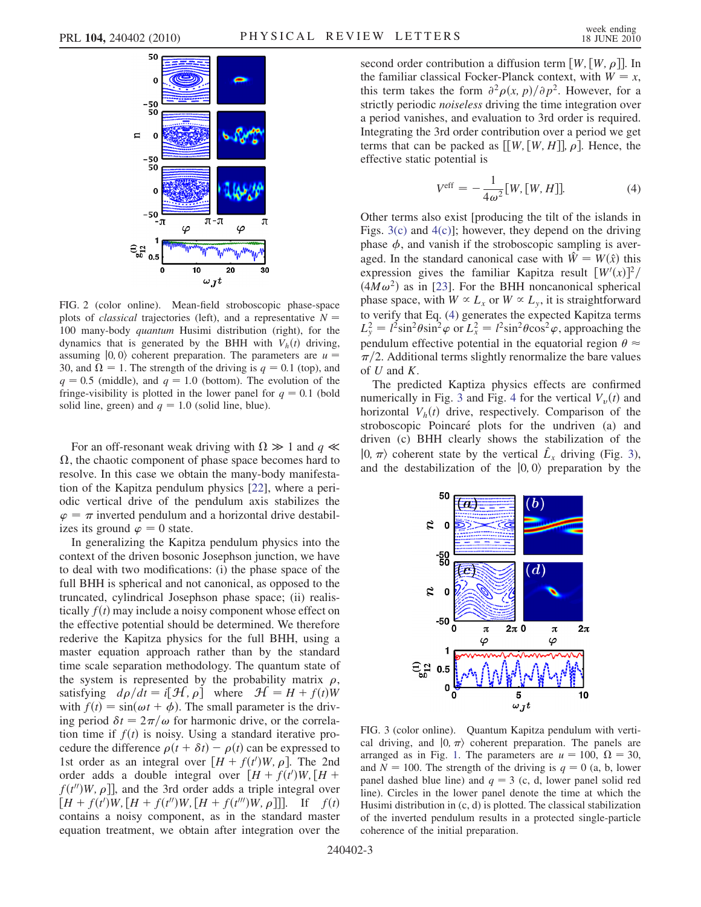<span id="page-2-0"></span>

FIG. 2 (color online). Mean-field stroboscopic phase-space plots of *classical* trajectories (left), and a representative  $N =$ 100 many-body quantum Husimi distribution (right), for the dynamics that is generated by the BHH with  $V_h(t)$  driving, assuming  $|0, 0\rangle$  coherent preparation. The parameters are  $u =$ 30, and  $\Omega = 1$ . The strength of the driving is  $q = 0.1$  (top), and  $q = 0.5$  (middle), and  $q = 1.0$  (bottom). The evolution of the fringe-visibility is plotted in the lower panel for  $q = 0.1$  (bold solid line, green) and  $q = 1.0$  (solid line, blue).

For an off-resonant weak driving with  $\Omega \gg 1$  and  $q \ll 1$  $\Omega$ , the chaotic component of phase space becomes hard to resolve. In this case we obtain the many-body manifestation of the Kapitza pendulum physics [[22](#page-3-20)], where a periodic vertical drive of the pendulum axis stabilizes the  $\varphi = \pi$  inverted pendulum and a horizontal drive destabilizes its ground  $\varphi = 0$  state.

In generalizing the Kapitza pendulum physics into the context of the driven bosonic Josephson junction, we have to deal with two modifications: (i) the phase space of the full BHH is spherical and not canonical, as opposed to the truncated, cylindrical Josephson phase space; (ii) realistically  $f(t)$  may include a noisy component whose effect on the effective potential should be determined. We therefore rederive the Kapitza physics for the full BHH, using a master equation approach rather than by the standard time scale separation methodology. The quantum state of the system is represented by the probability matrix  $\rho$ , satisfying  $d\rho/dt = i[\mathcal{H}, \rho]$  where  $\mathcal{H} = H + f(t)W$ with  $f(t) = \sin(\omega t + \phi)$ . The small parameter is the driving period  $\delta t = 2\pi/\omega$  for harmonic drive, or the correlation time if  $f(t)$  is noisy. Using a standard iterative procedure the difference  $\rho(t + \delta t) - \rho(t)$  can be expressed to 1st order as an integral over  $[H + f(t')W, \rho]$ . The 2nd order adds a double integral over  $[H + f(t')W, [H +$  $f(t'')W, \rho$ ], and the 3rd order adds a triple integral over  $[H + f(t')W, [H + f(t'')W, [H + f(t''')W, \rho]]].$  If  $f(t)$ contains a noisy component, as in the standard master equation treatment, we obtain after integration over the second order contribution a diffusion term  $[W,[W,\rho]]$ . In the familiar classical Focker-Planck context, with  $W = x$ , this term takes the form  $\frac{\partial^2 \rho(x, p)}{\partial p^2}$ . However, for a strictly periodic noiseless driving the time integration over a period vanishes, and evaluation to 3rd order is required. Integrating the 3rd order contribution over a period we get terms that can be packed as  $[[W, [W, H]], \rho]$ . Hence, the effective static potential is

$$
V^{\text{eff}} = -\frac{1}{4\omega^2} [W, [W, H]]. \tag{4}
$$

<span id="page-2-2"></span>Other terms also exist [producing the tilt of the islands in Figs.  $3(c)$  and  $4(c)$ ]; however, they depend on the driving phase  $\phi$ , and vanish if the stroboscopic sampling is averaged. In the standard canonical case with  $\hat{W} = W(\hat{x})$  this expression gives the familiar Kapitza result  $\left[W'(x)\right]^2$ /  $(4M\omega^2)$  as in [[23](#page-3-21)]. For the BHH noncanonical spherical phase space, with  $W \propto L_x$  or  $W \propto L_y$ , it is straightforward to verify that Eq. [\(4](#page-2-2)) generates the expected Kapitza terms  $L_y^2 = l^2 \sin^2 \theta \sin^2 \varphi$  or  $L_x^2 = l^2 \sin^2 \theta \cos^2 \varphi$ , approaching the pendulum effective potential in the equatorial region  $\theta \approx$  $\pi/2$ . Additional terms slightly renormalize the bare values of  $U$  and  $K$ .

The predicted Kaptiza physics effects are confirmed numerically in Fig. [3](#page-2-3) and Fig. [4](#page-3-30) for the vertical  $V_{\nu}(t)$  and horizontal  $V_h(t)$  drive, respectively. Comparison of the stroboscopic Poincaré plots for the undriven (a) and driven (c) BHH clearly shows the stabilization of the  $|0, \pi\rangle$  coherent state by the vertical  $\hat{L}_x$  driving (Fig. [3\)](#page-2-3), and the destabilization of the  $|0, 0\rangle$  preparation by the

<span id="page-2-3"></span>

<span id="page-2-1"></span>FIG. 3 (color online). Quantum Kapitza pendulum with vertical driving, and  $\ket{0, \pi}$  coherent preparation. The panels are arranged as in Fig. [1](#page-1-1). The parameters are  $u = 100$ ,  $\Omega = 30$ , and  $N = 100$ . The strength of the driving is  $q = 0$  (a, b, lower panel dashed blue line) and  $q = 3$  (c, d, lower panel solid red line). Circles in the lower panel denote the time at which the Husimi distribution in (c, d) is plotted. The classical stabilization of the inverted pendulum results in a protected single-particle coherence of the initial preparation.